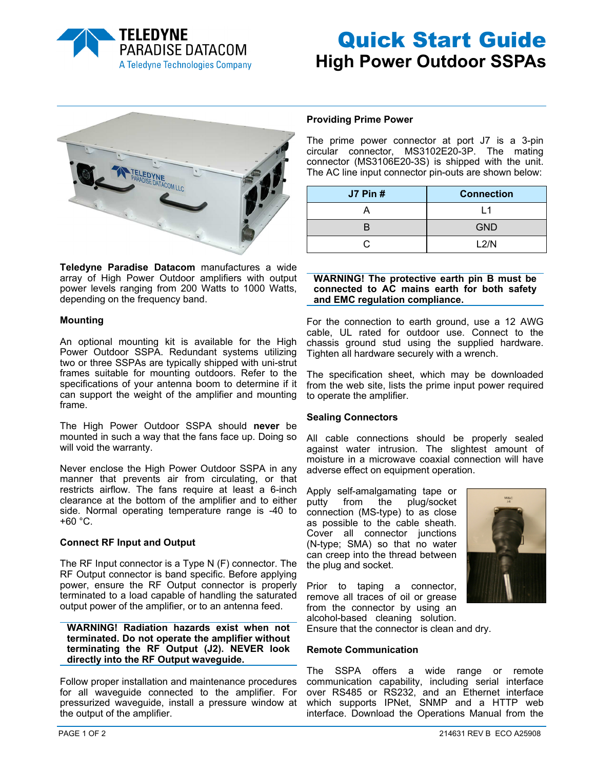

# Quick Start Guide **High Power Outdoor SSPAs**



**Teledyne Paradise Datacom** manufactures a wide array of High Power Outdoor amplifiers with output power levels ranging from 200 Watts to 1000 Watts, depending on the frequency band.

# **Mounting**

An optional mounting kit is available for the High Power Outdoor SSPA. Redundant systems utilizing two or three SSPAs are typically shipped with uni-strut frames suitable for mounting outdoors. Refer to the specifications of your antenna boom to determine if it can support the weight of the amplifier and mounting frame.

The High Power Outdoor SSPA should **never** be mounted in such a way that the fans face up. Doing so will void the warranty.

Never enclose the High Power Outdoor SSPA in any manner that prevents air from circulating, or that restricts airflow. The fans require at least a 6-inch clearance at the bottom of the amplifier and to either side. Normal operating temperature range is -40 to  $+60 °C$ .

# **Connect RF Input and Output**

The RF Input connector is a Type N (F) connector. The RF Output connector is band specific. Before applying power, ensure the RF Output connector is properly terminated to a load capable of handling the saturated output power of the amplifier, or to an antenna feed.

**WARNING! Radiation hazards exist when not terminated. Do not operate the amplifier without terminating the RF Output (J2). NEVER look directly into the RF Output waveguide.** 

Follow proper installation and maintenance procedures for all waveguide connected to the amplifier. For pressurized waveguide, install a pressure window at the output of the amplifier.

## **Providing Prime Power**

The prime power connector at port J7 is a 3-pin circular connector, MS3102E20-3P. The mating connector (MS3106E20-3S) is shipped with the unit. The AC line input connector pin-outs are shown below:

| <b>J7 Pin #</b> | <b>Connection</b> |
|-----------------|-------------------|
|                 |                   |
|                 | <b>GND</b>        |
|                 | L2/N              |

## **WARNING! The protective earth pin B must be connected to AC mains earth for both safety and EMC regulation compliance.**

For the connection to earth ground, use a 12 AWG cable, UL rated for outdoor use. Connect to the chassis ground stud using the supplied hardware. Tighten all hardware securely with a wrench.

The specification sheet, which may be downloaded from the web site, lists the prime input power required to operate the amplifier.

## **Sealing Connectors**

All cable connections should be properly sealed against water intrusion. The slightest amount of moisture in a microwave coaxial connection will have adverse effect on equipment operation.

Apply self-amalgamating tape or putty from the plug/socket connection (MS-type) to as close as possible to the cable sheath. Cover all connector junctions (N-type; SMA) so that no water can creep into the thread between the plug and socket.



Prior to taping a connector, remove all traces of oil or grease from the connector by using an alcohol-based cleaning solution.

Ensure that the connector is clean and dry.

# **Remote Communication**

The SSPA offers a wide range or remote communication capability, including serial interface over RS485 or RS232, and an Ethernet interface which supports IPNet, SNMP and a HTTP web interface. Download the Operations Manual from the